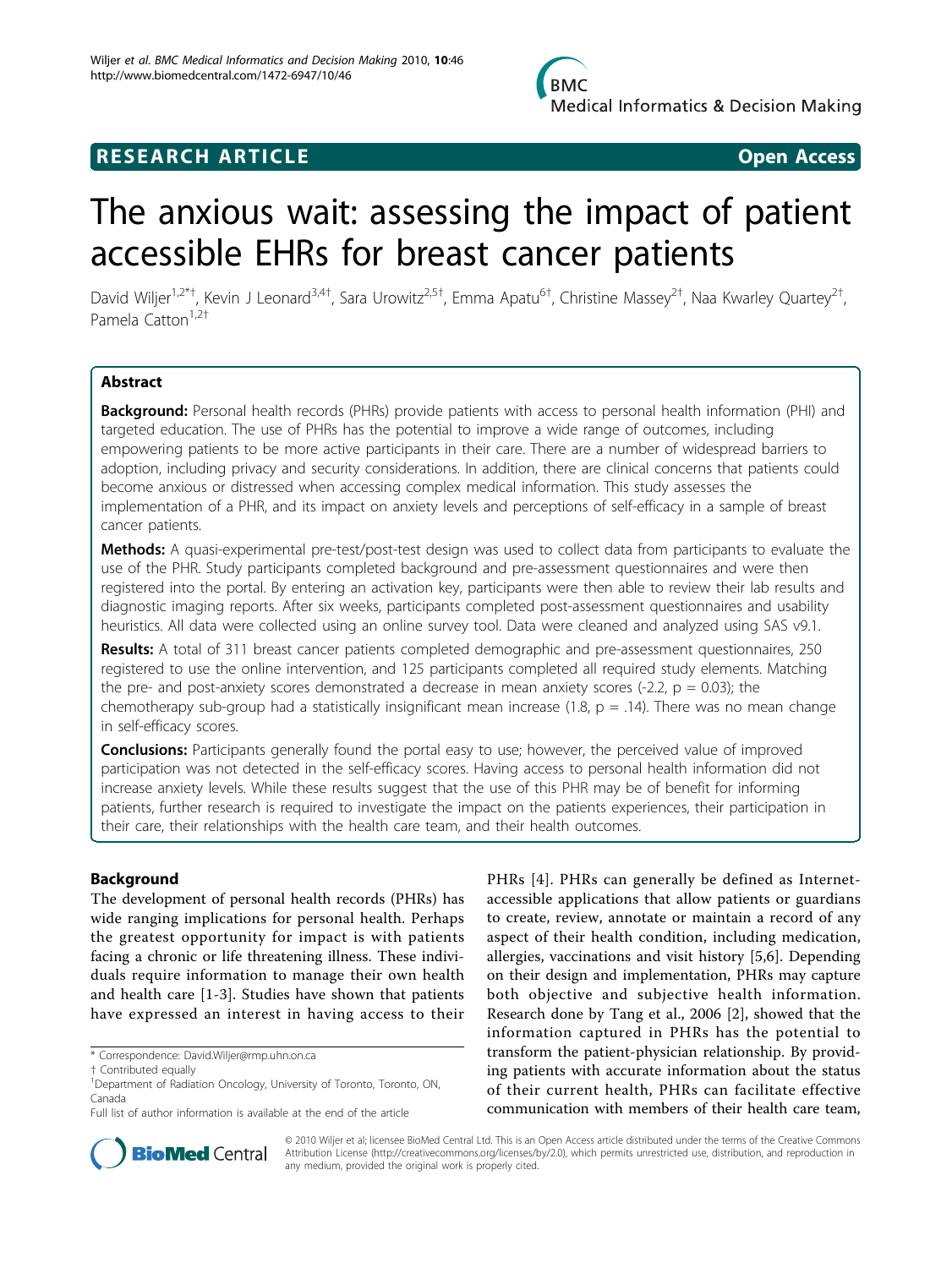

## **RESEARCH ARTICLE Example 2018 CONSUMING ACCESS**

# The anxious wait: assessing the impact of patient accessible EHRs for breast cancer patients

David Wiljer<sup>1,2\*†</sup>, Kevin J Leonard<sup>3,4†</sup>, Sara Urowitz<sup>2,5†</sup>, Emma Apatu<sup>6†</sup>, Christine Massey<sup>2†</sup>, Naa Kwarley Quartey<sup>2†</sup> , Pamela Catton<sup>1,2†</sup>

## Abstract

Background: Personal health records (PHRs) provide patients with access to personal health information (PHI) and targeted education. The use of PHRs has the potential to improve a wide range of outcomes, including empowering patients to be more active participants in their care. There are a number of widespread barriers to adoption, including privacy and security considerations. In addition, there are clinical concerns that patients could become anxious or distressed when accessing complex medical information. This study assesses the implementation of a PHR, and its impact on anxiety levels and perceptions of self-efficacy in a sample of breast cancer patients.

Methods: A quasi-experimental pre-test/post-test design was used to collect data from participants to evaluate the use of the PHR. Study participants completed background and pre-assessment questionnaires and were then registered into the portal. By entering an activation key, participants were then able to review their lab results and diagnostic imaging reports. After six weeks, participants completed post-assessment questionnaires and usability heuristics. All data were collected using an online survey tool. Data were cleaned and analyzed using SAS v9.1.

Results: A total of 311 breast cancer patients completed demographic and pre-assessment questionnaires, 250 registered to use the online intervention, and 125 participants completed all required study elements. Matching the pre- and post-anxiety scores demonstrated a decrease in mean anxiety scores (-2.2,  $p = 0.03$ ); the chemotherapy sub-group had a statistically insignificant mean increase (1.8,  $p = .14$ ). There was no mean change in self-efficacy scores.

**Conclusions:** Participants generally found the portal easy to use; however, the perceived value of improved participation was not detected in the self-efficacy scores. Having access to personal health information did not increase anxiety levels. While these results suggest that the use of this PHR may be of benefit for informing patients, further research is required to investigate the impact on the patients experiences, their participation in their care, their relationships with the health care team, and their health outcomes.

## Background

The development of personal health records (PHRs) has wide ranging implications for personal health. Perhaps the greatest opportunity for impact is with patients facing a chronic or life threatening illness. These individuals require information to manage their own health and health care [[1-3](#page-8-0)]. Studies have shown that patients have expressed an interest in having access to their

PHRs [[4\]](#page-8-0). PHRs can generally be defined as Internetaccessible applications that allow patients or guardians to create, review, annotate or maintain a record of any aspect of their health condition, including medication, allergies, vaccinations and visit history [[5,6\]](#page-8-0). Depending on their design and implementation, PHRs may capture both objective and subjective health information. Research done by Tang et al., 2006 [\[2](#page-8-0)], showed that the information captured in PHRs has the potential to transform the patient-physician relationship. By providing patients with accurate information about the status of their current health, PHRs can facilitate effective communication with members of their health care team,



© 2010 Wiljer et al; licensee BioMed Central Ltd. This is an Open Access article distributed under the terms of the Creative Commons Attribution License [\(http://creativecommons.org/licenses/by/2.0](http://creativecommons.org/licenses/by/2.0)), which permits unrestricted use, distribution, and reproduction in any medium, provided the original work is properly cited.

<sup>\*</sup> Correspondence: [David.Wiljer@rmp.uhn.on.ca](mailto:David.Wiljer@rmp.uhn.on.ca)

<sup>†</sup> Contributed equally <sup>1</sup>

<sup>&</sup>lt;sup>1</sup>Department of Radiation Oncology, University of Toronto, Toronto, ON, Canada

Full list of author information is available at the end of the article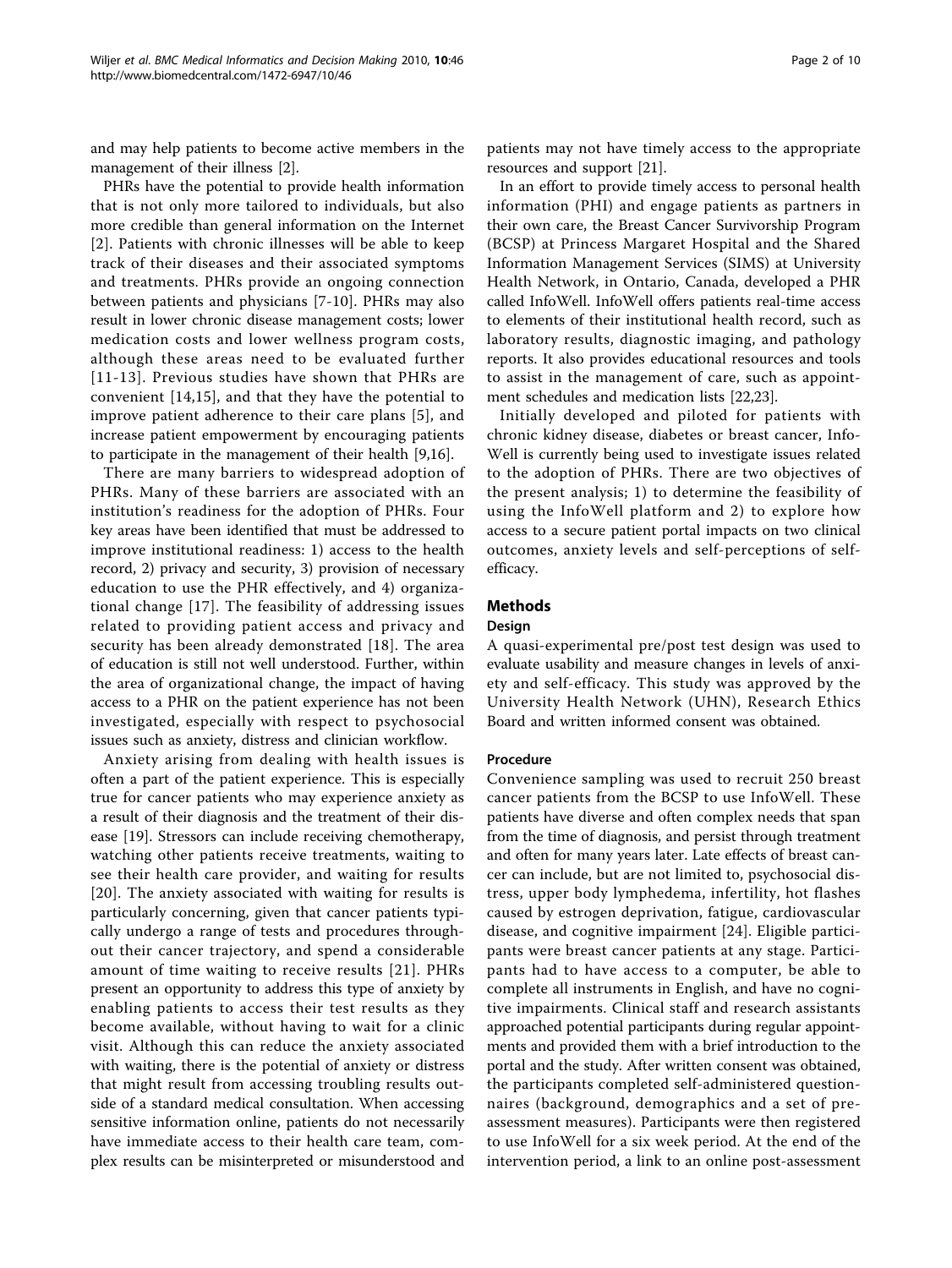and may help patients to become active members in the management of their illness [\[2\]](#page-8-0).

PHRs have the potential to provide health information that is not only more tailored to individuals, but also more credible than general information on the Internet [[2](#page-8-0)]. Patients with chronic illnesses will be able to keep track of their diseases and their associated symptoms and treatments. PHRs provide an ongoing connection between patients and physicians [\[7](#page-8-0)-[10](#page-8-0)]. PHRs may also result in lower chronic disease management costs; lower medication costs and lower wellness program costs, although these areas need to be evaluated further [[11-](#page-8-0)[13](#page-9-0)]. Previous studies have shown that PHRs are convenient [[14,15](#page-9-0)], and that they have the potential to improve patient adherence to their care plans [[5\]](#page-8-0), and increase patient empowerment by encouraging patients to participate in the management of their health [\[9](#page-8-0)[,16\]](#page-9-0).

There are many barriers to widespread adoption of PHRs. Many of these barriers are associated with an institution's readiness for the adoption of PHRs. Four key areas have been identified that must be addressed to improve institutional readiness: 1) access to the health record, 2) privacy and security, 3) provision of necessary education to use the PHR effectively, and 4) organizational change [\[17\]](#page-9-0). The feasibility of addressing issues related to providing patient access and privacy and security has been already demonstrated [\[18\]](#page-9-0). The area of education is still not well understood. Further, within the area of organizational change, the impact of having access to a PHR on the patient experience has not been investigated, especially with respect to psychosocial issues such as anxiety, distress and clinician workflow.

Anxiety arising from dealing with health issues is often a part of the patient experience. This is especially true for cancer patients who may experience anxiety as a result of their diagnosis and the treatment of their disease [\[19](#page-9-0)]. Stressors can include receiving chemotherapy, watching other patients receive treatments, waiting to see their health care provider, and waiting for results [[20](#page-9-0)]. The anxiety associated with waiting for results is particularly concerning, given that cancer patients typically undergo a range of tests and procedures throughout their cancer trajectory, and spend a considerable amount of time waiting to receive results [[21](#page-9-0)]. PHRs present an opportunity to address this type of anxiety by enabling patients to access their test results as they become available, without having to wait for a clinic visit. Although this can reduce the anxiety associated with waiting, there is the potential of anxiety or distress that might result from accessing troubling results outside of a standard medical consultation. When accessing sensitive information online, patients do not necessarily have immediate access to their health care team, complex results can be misinterpreted or misunderstood and

patients may not have timely access to the appropriate resources and support [\[21\]](#page-9-0).

In an effort to provide timely access to personal health information (PHI) and engage patients as partners in their own care, the Breast Cancer Survivorship Program (BCSP) at Princess Margaret Hospital and the Shared Information Management Services (SIMS) at University Health Network, in Ontario, Canada, developed a PHR called InfoWell. InfoWell offers patients real-time access to elements of their institutional health record, such as laboratory results, diagnostic imaging, and pathology reports. It also provides educational resources and tools to assist in the management of care, such as appointment schedules and medication lists [\[22,23\]](#page-9-0).

Initially developed and piloted for patients with chronic kidney disease, diabetes or breast cancer, Info-Well is currently being used to investigate issues related to the adoption of PHRs. There are two objectives of the present analysis; 1) to determine the feasibility of using the InfoWell platform and 2) to explore how access to a secure patient portal impacts on two clinical outcomes, anxiety levels and self-perceptions of selfefficacy.

## Methods

## Design

A quasi-experimental pre/post test design was used to evaluate usability and measure changes in levels of anxiety and self-efficacy. This study was approved by the University Health Network (UHN), Research Ethics Board and written informed consent was obtained.

## Procedure

Convenience sampling was used to recruit 250 breast cancer patients from the BCSP to use InfoWell. These patients have diverse and often complex needs that span from the time of diagnosis, and persist through treatment and often for many years later. Late effects of breast cancer can include, but are not limited to, psychosocial distress, upper body lymphedema, infertility, hot flashes caused by estrogen deprivation, fatigue, cardiovascular disease, and cognitive impairment [[24](#page-9-0)]. Eligible participants were breast cancer patients at any stage. Participants had to have access to a computer, be able to complete all instruments in English, and have no cognitive impairments. Clinical staff and research assistants approached potential participants during regular appointments and provided them with a brief introduction to the portal and the study. After written consent was obtained, the participants completed self-administered questionnaires (background, demographics and a set of preassessment measures). Participants were then registered to use InfoWell for a six week period. At the end of the intervention period, a link to an online post-assessment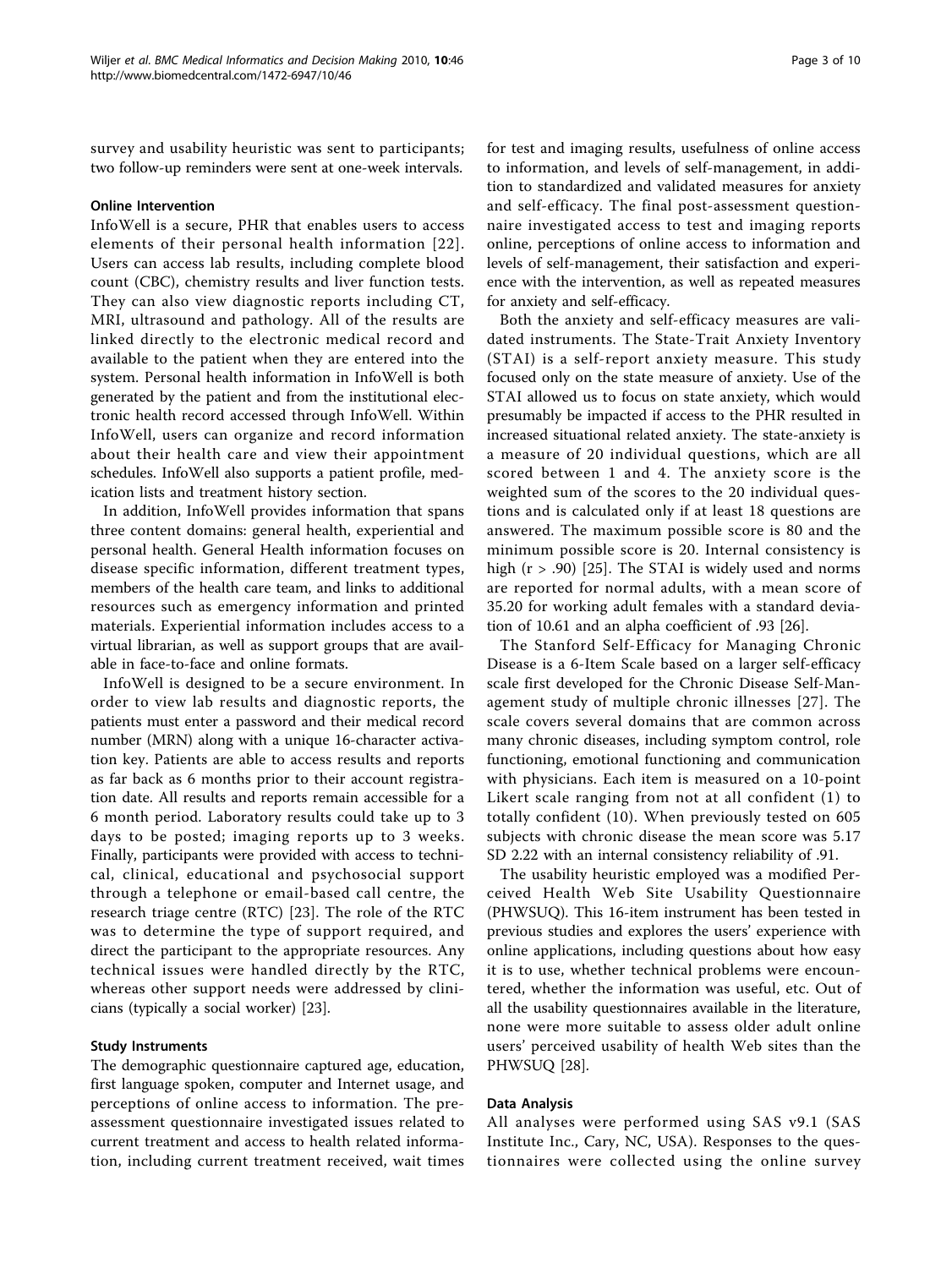survey and usability heuristic was sent to participants; two follow-up reminders were sent at one-week intervals.

## Online Intervention

InfoWell is a secure, PHR that enables users to access elements of their personal health information [[22\]](#page-9-0). Users can access lab results, including complete blood count (CBC), chemistry results and liver function tests. They can also view diagnostic reports including CT, MRI, ultrasound and pathology. All of the results are linked directly to the electronic medical record and available to the patient when they are entered into the system. Personal health information in InfoWell is both generated by the patient and from the institutional electronic health record accessed through InfoWell. Within InfoWell, users can organize and record information about their health care and view their appointment schedules. InfoWell also supports a patient profile, medication lists and treatment history section.

In addition, InfoWell provides information that spans three content domains: general health, experiential and personal health. General Health information focuses on disease specific information, different treatment types, members of the health care team, and links to additional resources such as emergency information and printed materials. Experiential information includes access to a virtual librarian, as well as support groups that are available in face-to-face and online formats.

InfoWell is designed to be a secure environment. In order to view lab results and diagnostic reports, the patients must enter a password and their medical record number (MRN) along with a unique 16-character activation key. Patients are able to access results and reports as far back as 6 months prior to their account registration date. All results and reports remain accessible for a 6 month period. Laboratory results could take up to 3 days to be posted; imaging reports up to 3 weeks. Finally, participants were provided with access to technical, clinical, educational and psychosocial support through a telephone or email-based call centre, the research triage centre (RTC) [\[23](#page-9-0)]. The role of the RTC was to determine the type of support required, and direct the participant to the appropriate resources. Any technical issues were handled directly by the RTC, whereas other support needs were addressed by clinicians (typically a social worker) [[23\]](#page-9-0).

## Study Instruments

The demographic questionnaire captured age, education, first language spoken, computer and Internet usage, and perceptions of online access to information. The preassessment questionnaire investigated issues related to current treatment and access to health related information, including current treatment received, wait times for test and imaging results, usefulness of online access to information, and levels of self-management, in addition to standardized and validated measures for anxiety and self-efficacy. The final post-assessment questionnaire investigated access to test and imaging reports online, perceptions of online access to information and levels of self-management, their satisfaction and experience with the intervention, as well as repeated measures for anxiety and self-efficacy.

Both the anxiety and self-efficacy measures are validated instruments. The State-Trait Anxiety Inventory (STAI) is a self-report anxiety measure. This study focused only on the state measure of anxiety. Use of the STAI allowed us to focus on state anxiety, which would presumably be impacted if access to the PHR resulted in increased situational related anxiety. The state-anxiety is a measure of 20 individual questions, which are all scored between 1 and 4. The anxiety score is the weighted sum of the scores to the 20 individual questions and is calculated only if at least 18 questions are answered. The maximum possible score is 80 and the minimum possible score is 20. Internal consistency is high (r > .90) [\[25](#page-9-0)]. The STAI is widely used and norms are reported for normal adults, with a mean score of 35.20 for working adult females with a standard deviation of 10.61 and an alpha coefficient of .93 [\[26\]](#page-9-0).

The Stanford Self-Efficacy for Managing Chronic Disease is a 6-Item Scale based on a larger self-efficacy scale first developed for the Chronic Disease Self-Management study of multiple chronic illnesses [[27](#page-9-0)]. The scale covers several domains that are common across many chronic diseases, including symptom control, role functioning, emotional functioning and communication with physicians. Each item is measured on a 10-point Likert scale ranging from not at all confident (1) to totally confident (10). When previously tested on 605 subjects with chronic disease the mean score was 5.17 SD 2.22 with an internal consistency reliability of .91.

The usability heuristic employed was a modified Perceived Health Web Site Usability Questionnaire (PHWSUQ). This 16-item instrument has been tested in previous studies and explores the users' experience with online applications, including questions about how easy it is to use, whether technical problems were encountered, whether the information was useful, etc. Out of all the usability questionnaires available in the literature, none were more suitable to assess older adult online users' perceived usability of health Web sites than the PHWSUQ [[28\]](#page-9-0).

## Data Analysis

All analyses were performed using SAS v9.1 (SAS Institute Inc., Cary, NC, USA). Responses to the questionnaires were collected using the online survey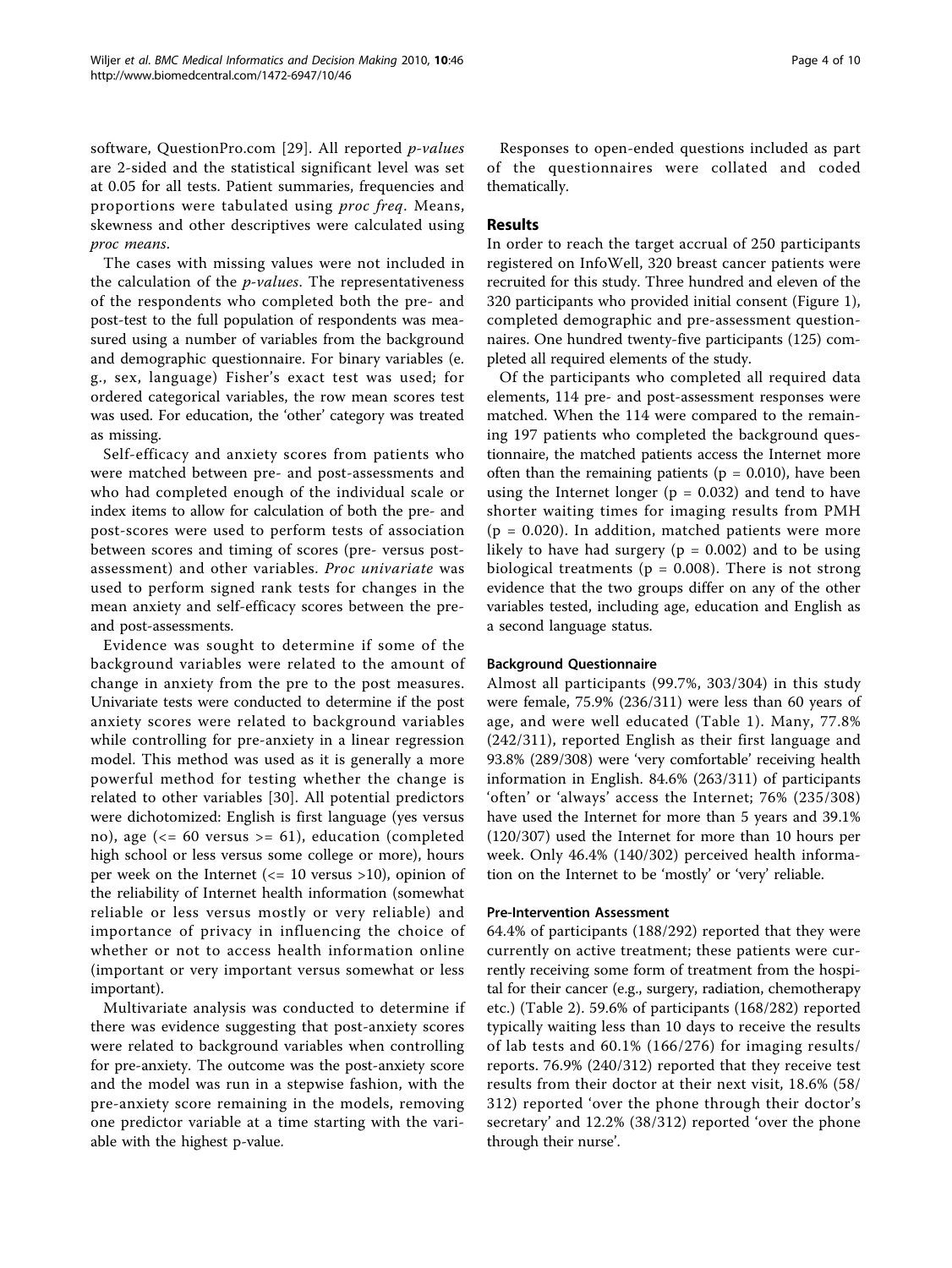software, QuestionPro.com [[29\]](#page-9-0). All reported p-values are 2-sided and the statistical significant level was set at 0.05 for all tests. Patient summaries, frequencies and proportions were tabulated using proc freq. Means, skewness and other descriptives were calculated using proc means.

The cases with missing values were not included in the calculation of the p-values. The representativeness of the respondents who completed both the pre- and post-test to the full population of respondents was measured using a number of variables from the background and demographic questionnaire. For binary variables (e. g., sex, language) Fisher's exact test was used; for ordered categorical variables, the row mean scores test was used. For education, the 'other' category was treated as missing.

Self-efficacy and anxiety scores from patients who were matched between pre- and post-assessments and who had completed enough of the individual scale or index items to allow for calculation of both the pre- and post-scores were used to perform tests of association between scores and timing of scores (pre- versus postassessment) and other variables. Proc univariate was used to perform signed rank tests for changes in the mean anxiety and self-efficacy scores between the preand post-assessments.

Evidence was sought to determine if some of the background variables were related to the amount of change in anxiety from the pre to the post measures. Univariate tests were conducted to determine if the post anxiety scores were related to background variables while controlling for pre-anxiety in a linear regression model. This method was used as it is generally a more powerful method for testing whether the change is related to other variables [[30](#page-9-0)]. All potential predictors were dichotomized: English is first language (yes versus no), age (<= 60 versus >= 61), education (completed high school or less versus some college or more), hours per week on the Internet ( $\le$  10 versus >10), opinion of the reliability of Internet health information (somewhat reliable or less versus mostly or very reliable) and importance of privacy in influencing the choice of whether or not to access health information online (important or very important versus somewhat or less important).

Multivariate analysis was conducted to determine if there was evidence suggesting that post-anxiety scores were related to background variables when controlling for pre-anxiety. The outcome was the post-anxiety score and the model was run in a stepwise fashion, with the pre-anxiety score remaining in the models, removing one predictor variable at a time starting with the variable with the highest p-value.

Responses to open-ended questions included as part of the questionnaires were collated and coded thematically.

## Results

In order to reach the target accrual of 250 participants registered on InfoWell, 320 breast cancer patients were recruited for this study. Three hundred and eleven of the 320 participants who provided initial consent (Figure [1](#page-4-0)), completed demographic and pre-assessment questionnaires. One hundred twenty-five participants (125) completed all required elements of the study.

Of the participants who completed all required data elements, 114 pre- and post-assessment responses were matched. When the 114 were compared to the remaining 197 patients who completed the background questionnaire, the matched patients access the Internet more often than the remaining patients ( $p = 0.010$ ), have been using the Internet longer ( $p = 0.032$ ) and tend to have shorter waiting times for imaging results from PMH  $(p = 0.020)$ . In addition, matched patients were more likely to have had surgery ( $p = 0.002$ ) and to be using biological treatments ( $p = 0.008$ ). There is not strong evidence that the two groups differ on any of the other variables tested, including age, education and English as a second language status.

## Background Questionnaire

Almost all participants (99.7%, 303/304) in this study were female, 75.9% (236/311) were less than 60 years of age, and were well educated (Table [1](#page-4-0)). Many, 77.8% (242/311), reported English as their first language and 93.8% (289/308) were 'very comfortable' receiving health information in English. 84.6% (263/311) of participants 'often' or 'always' access the Internet; 76% (235/308) have used the Internet for more than 5 years and 39.1% (120/307) used the Internet for more than 10 hours per week. Only 46.4% (140/302) perceived health information on the Internet to be 'mostly' or 'very' reliable.

## Pre-Intervention Assessment

64.4% of participants (188/292) reported that they were currently on active treatment; these patients were currently receiving some form of treatment from the hospital for their cancer (e.g., surgery, radiation, chemotherapy etc.) (Table [2](#page-5-0)). 59.6% of participants (168/282) reported typically waiting less than 10 days to receive the results of lab tests and 60.1% (166/276) for imaging results/ reports. 76.9% (240/312) reported that they receive test results from their doctor at their next visit, 18.6% (58/ 312) reported 'over the phone through their doctor's secretary' and 12.2% (38/312) reported 'over the phone through their nurse'.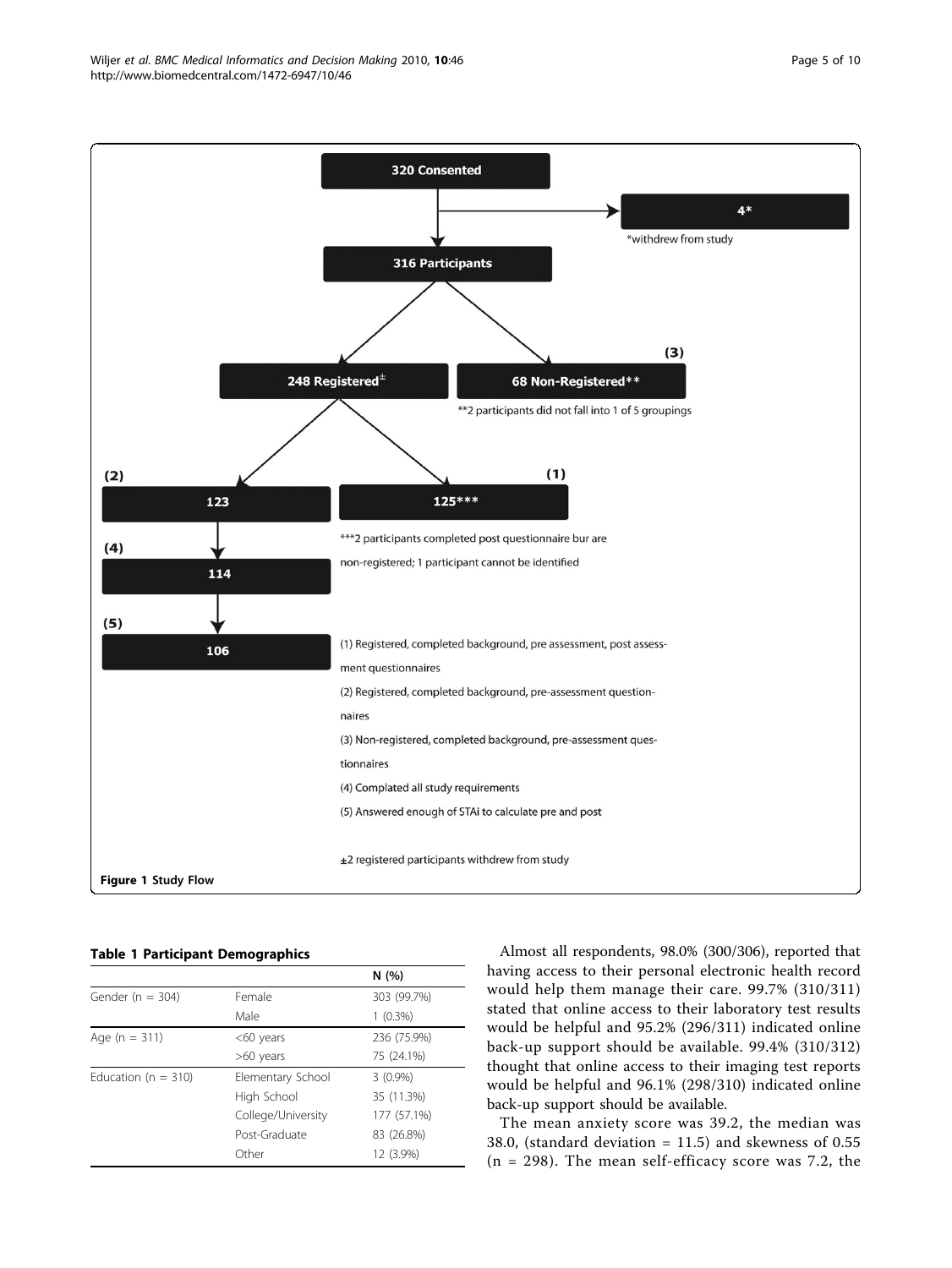<span id="page-4-0"></span>

Table 1 Participant Demographics

|                         |                    | N(%)                                                               |
|-------------------------|--------------------|--------------------------------------------------------------------|
| Gender ( $n = 304$ )    | Female             | 303 (99.7%)                                                        |
|                         | Male               | $1(0.3\%)$                                                         |
| Age ( $n = 311$ )       | $<$ 60 years       | 236 (75.9%)                                                        |
|                         | $>60$ years        | 75 (24.1%)                                                         |
| Education ( $n = 310$ ) | Elementary School  | $3(0.9\%)$<br>35 (11.3%)<br>177 (57.1%)<br>83 (26.8%)<br>12 (3.9%) |
|                         | High School        |                                                                    |
|                         | College/University |                                                                    |
|                         | Post-Graduate      |                                                                    |
|                         | Other              |                                                                    |

Almost all respondents, 98.0% (300/306), reported that having access to their personal electronic health record would help them manage their care. 99.7% (310/311) stated that online access to their laboratory test results would be helpful and 95.2% (296/311) indicated online back-up support should be available. 99.4% (310/312) thought that online access to their imaging test reports would be helpful and 96.1% (298/310) indicated online back-up support should be available.

The mean anxiety score was 39.2, the median was 38.0, (standard deviation = 11.5) and skewness of 0.55  $(n = 298)$ . The mean self-efficacy score was 7.2, the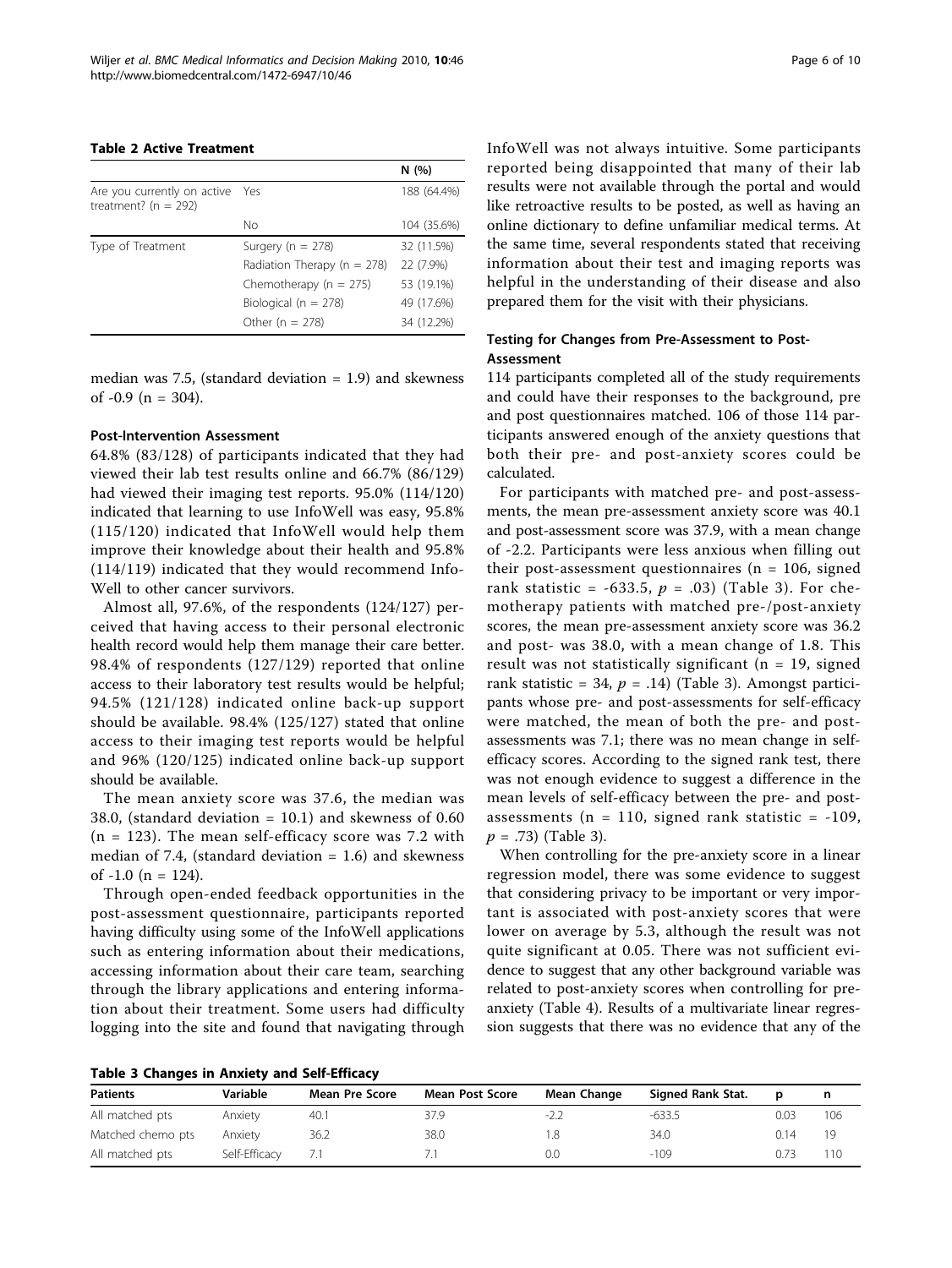## <span id="page-5-0"></span>Table 2 Active Treatment

|                                                         |                                 | N(%)        |
|---------------------------------------------------------|---------------------------------|-------------|
| Are you currently on active<br>treatment? ( $n = 292$ ) | Yes                             | 188 (64.4%) |
|                                                         | Nο                              | 104 (35.6%) |
| Type of Treatment                                       | Surgery ( $n = 278$ )           | 32 (11.5%)  |
|                                                         | Radiation Therapy ( $n = 278$ ) | 22 (7.9%)   |
|                                                         | Chemotherapy ( $n = 275$ )      | 53 (19.1%)  |
|                                                         | Biological ( $n = 278$ )        | 49 (17.6%)  |
|                                                         | Other ( $n = 278$ )             | 34 (12.2%)  |

median was 7.5, (standard deviation  $= 1.9$ ) and skewness of  $-0.9$  (n = 304).

## Post-Intervention Assessment

64.8% (83/128) of participants indicated that they had viewed their lab test results online and 66.7% (86/129) had viewed their imaging test reports. 95.0% (114/120) indicated that learning to use InfoWell was easy, 95.8% (115/120) indicated that InfoWell would help them improve their knowledge about their health and 95.8% (114/119) indicated that they would recommend Info-Well to other cancer survivors.

Almost all, 97.6%, of the respondents (124/127) perceived that having access to their personal electronic health record would help them manage their care better. 98.4% of respondents (127/129) reported that online access to their laboratory test results would be helpful; 94.5% (121/128) indicated online back-up support should be available. 98.4% (125/127) stated that online access to their imaging test reports would be helpful and 96% (120/125) indicated online back-up support should be available.

The mean anxiety score was 37.6, the median was 38.0, (standard deviation = 10.1) and skewness of 0.60  $(n = 123)$ . The mean self-efficacy score was 7.2 with median of 7.4, (standard deviation  $= 1.6$ ) and skewness of  $-1.0$  (n = 124).

Through open-ended feedback opportunities in the post-assessment questionnaire, participants reported having difficulty using some of the InfoWell applications such as entering information about their medications, accessing information about their care team, searching through the library applications and entering information about their treatment. Some users had difficulty logging into the site and found that navigating through InfoWell was not always intuitive. Some participants reported being disappointed that many of their lab results were not available through the portal and would like retroactive results to be posted, as well as having an online dictionary to define unfamiliar medical terms. At the same time, several respondents stated that receiving information about their test and imaging reports was helpful in the understanding of their disease and also prepared them for the visit with their physicians.

## Testing for Changes from Pre-Assessment to Post-Assessment

114 participants completed all of the study requirements and could have their responses to the background, pre and post questionnaires matched. 106 of those 114 participants answered enough of the anxiety questions that both their pre- and post-anxiety scores could be calculated.

For participants with matched pre- and post-assessments, the mean pre-assessment anxiety score was 40.1 and post-assessment score was 37.9, with a mean change of -2.2. Participants were less anxious when filling out their post-assessment questionnaires ( $n = 106$ , signed rank statistic = -633.5,  $p = .03$ ) (Table 3). For chemotherapy patients with matched pre-/post-anxiety scores, the mean pre-assessment anxiety score was 36.2 and post- was 38.0, with a mean change of 1.8. This result was not statistically significant ( $n = 19$ , signed rank statistic = 34,  $p = .14$ ) (Table 3). Amongst participants whose pre- and post-assessments for self-efficacy were matched, the mean of both the pre- and postassessments was 7.1; there was no mean change in selfefficacy scores. According to the signed rank test, there was not enough evidence to suggest a difference in the mean levels of self-efficacy between the pre- and postassessments ( $n = 110$ , signed rank statistic = -109,  $p = .73$ ) (Table 3).

When controlling for the pre-anxiety score in a linear regression model, there was some evidence to suggest that considering privacy to be important or very important is associated with post-anxiety scores that were lower on average by 5.3, although the result was not quite significant at 0.05. There was not sufficient evidence to suggest that any other background variable was related to post-anxiety scores when controlling for preanxiety (Table [4\)](#page-6-0). Results of a multivariate linear regression suggests that there was no evidence that any of the

|  |  |  |  |  | Table 3 Changes in Anxiety and Self-Efficacy |  |
|--|--|--|--|--|----------------------------------------------|--|
|--|--|--|--|--|----------------------------------------------|--|

| <b>Patients</b>   | Variable      | Mean Pre Score | <b>Mean Post Score</b> | Mean Change | Signed Rank Stat. |      |     |
|-------------------|---------------|----------------|------------------------|-------------|-------------------|------|-----|
| All matched pts   | Anxiety       | 40.1           | 37.9                   | $-2.2$      | $-633.5$          | 0.03 | 106 |
| Matched chemo pts | Anxiety       | 36.2           | 38.0                   |             | 34.0              | በ 14 | 19  |
| All matched pts   | Self-Efficacy |                |                        | 0.0         | $-109$            | J.Z3 | 110 |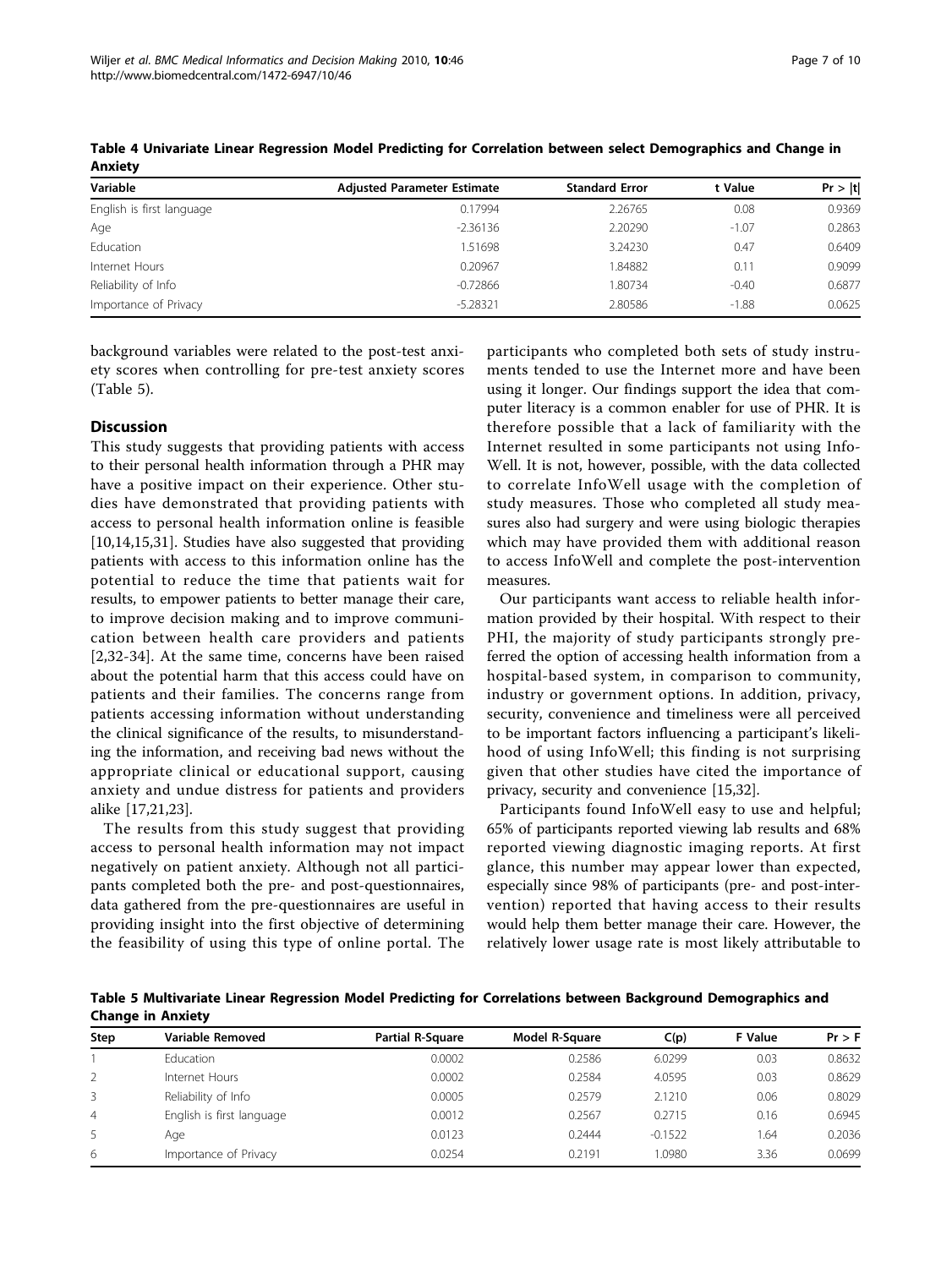| Variable                  | <b>Adjusted Parameter Estimate</b> | <b>Standard Error</b> | t Value | Pr >  t |
|---------------------------|------------------------------------|-----------------------|---------|---------|
| English is first language | 0.17994                            | 2.26765               | 0.08    | 0.9369  |
| Age                       | $-2.36136$                         | 2.20290               | $-1.07$ | 0.2863  |
| Education                 | 1.51698                            | 3.24230               | 0.47    | 0.6409  |
| Internet Hours            | 0.20967                            | 84882                 | 0.11    | 0.9099  |
| Reliability of Info       | $-0.72866$                         | 1.80734               | $-0.40$ | 0.6877  |
| Importance of Privacy     | $-5.28321$                         | 2.80586               | $-1.88$ | 0.0625  |
|                           |                                    |                       |         |         |

<span id="page-6-0"></span>Table 4 Univariate Linear Regression Model Predicting for Correlation between select Demographics and Change in Anxiety

background variables were related to the post-test anxiety scores when controlling for pre-test anxiety scores (Table 5).

## **Discussion**

This study suggests that providing patients with access to their personal health information through a PHR may have a positive impact on their experience. Other studies have demonstrated that providing patients with access to personal health information online is feasible [[10,](#page-8-0)[14,15,31\]](#page-9-0). Studies have also suggested that providing patients with access to this information online has the potential to reduce the time that patients wait for results, to empower patients to better manage their care, to improve decision making and to improve communication between health care providers and patients [[2](#page-8-0)[,32](#page-9-0)-[34](#page-9-0)]. At the same time, concerns have been raised about the potential harm that this access could have on patients and their families. The concerns range from patients accessing information without understanding the clinical significance of the results, to misunderstanding the information, and receiving bad news without the appropriate clinical or educational support, causing anxiety and undue distress for patients and providers alike [[17,21](#page-9-0),[23](#page-9-0)].

The results from this study suggest that providing access to personal health information may not impact negatively on patient anxiety. Although not all participants completed both the pre- and post-questionnaires, data gathered from the pre-questionnaires are useful in providing insight into the first objective of determining the feasibility of using this type of online portal. The participants who completed both sets of study instruments tended to use the Internet more and have been using it longer. Our findings support the idea that computer literacy is a common enabler for use of PHR. It is therefore possible that a lack of familiarity with the Internet resulted in some participants not using Info-Well. It is not, however, possible, with the data collected to correlate InfoWell usage with the completion of study measures. Those who completed all study measures also had surgery and were using biologic therapies which may have provided them with additional reason to access InfoWell and complete the post-intervention measures.

Our participants want access to reliable health information provided by their hospital. With respect to their PHI, the majority of study participants strongly preferred the option of accessing health information from a hospital-based system, in comparison to community, industry or government options. In addition, privacy, security, convenience and timeliness were all perceived to be important factors influencing a participant's likelihood of using InfoWell; this finding is not surprising given that other studies have cited the importance of privacy, security and convenience [[15](#page-9-0),[32](#page-9-0)].

Participants found InfoWell easy to use and helpful; 65% of participants reported viewing lab results and 68% reported viewing diagnostic imaging reports. At first glance, this number may appear lower than expected, especially since 98% of participants (pre- and post-intervention) reported that having access to their results would help them better manage their care. However, the relatively lower usage rate is most likely attributable to

Table 5 Multivariate Linear Regression Model Predicting for Correlations between Background Demographics and Change in Anxiety

| Step           | Variable Removed          | <b>Partial R-Square</b> | Model R-Square | C(p)      | F Value | $Pr$ > F |
|----------------|---------------------------|-------------------------|----------------|-----------|---------|----------|
|                | Education                 | 0.0002                  | 0.2586         | 6.0299    | 0.03    | 0.8632   |
| 2              | Internet Hours            | 0.0002                  | 0.2584         | 4.0595    | 0.03    | 0.8629   |
| 3              | Reliability of Info       | 0.0005                  | 0.2579         | 2.1210    | 0.06    | 0.8029   |
| $\overline{4}$ | English is first language | 0.0012                  | 0.2567         | 0.2715    | 0.16    | 0.6945   |
| 5              | Age                       | 0.0123                  | 0.2444         | $-0.1522$ | 1.64    | 0.2036   |
| 6              | Importance of Privacy     | 0.0254                  | 0.2191         | 1.0980    | 3.36    | 0.0699   |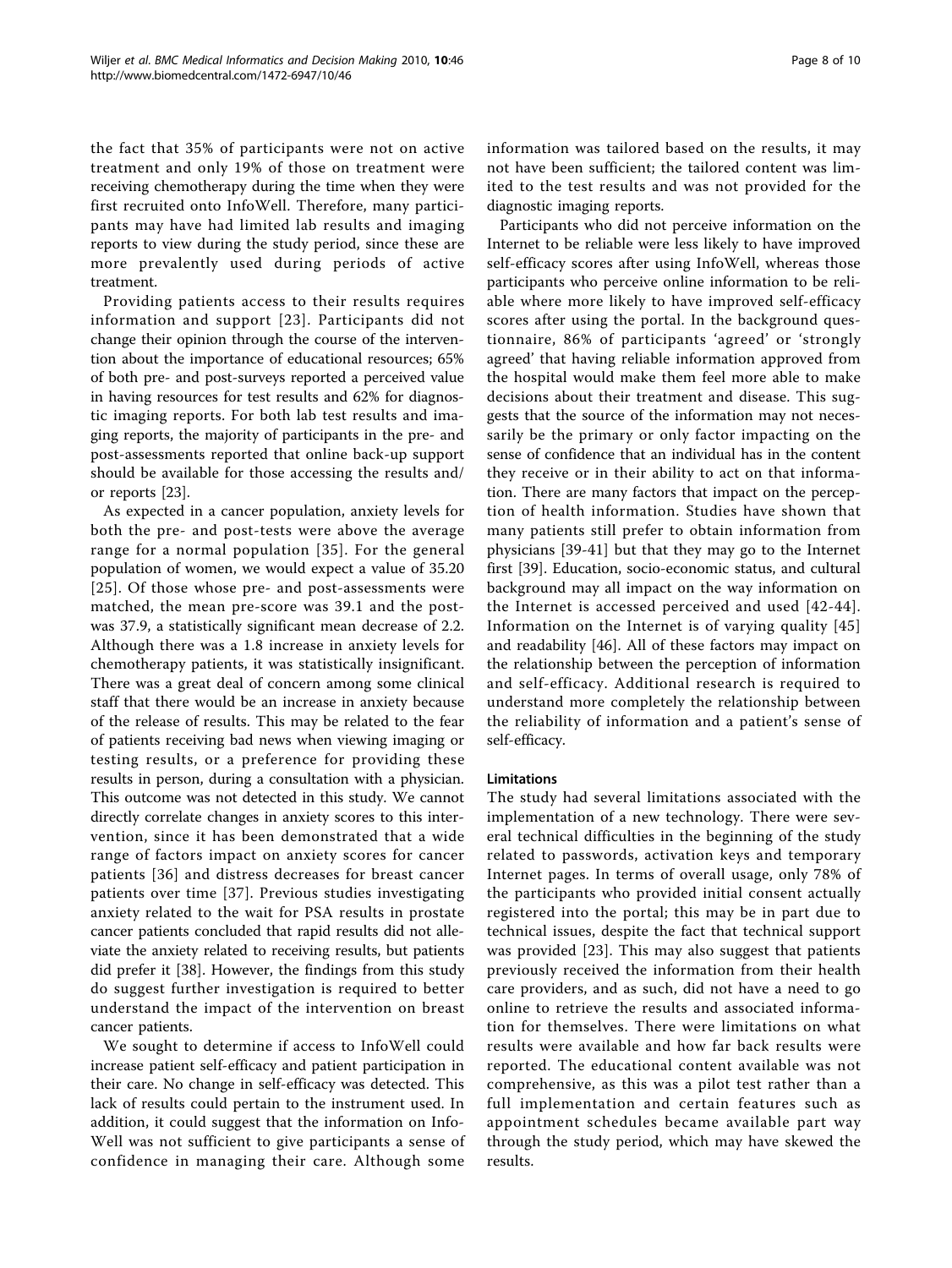the fact that 35% of participants were not on active treatment and only 19% of those on treatment were receiving chemotherapy during the time when they were first recruited onto InfoWell. Therefore, many participants may have had limited lab results and imaging reports to view during the study period, since these are more prevalently used during periods of active treatment.

Providing patients access to their results requires information and support [[23\]](#page-9-0). Participants did not change their opinion through the course of the intervention about the importance of educational resources; 65% of both pre- and post-surveys reported a perceived value in having resources for test results and 62% for diagnostic imaging reports. For both lab test results and imaging reports, the majority of participants in the pre- and post-assessments reported that online back-up support should be available for those accessing the results and/ or reports [[23\]](#page-9-0).

As expected in a cancer population, anxiety levels for both the pre- and post-tests were above the average range for a normal population [[35\]](#page-9-0). For the general population of women, we would expect a value of 35.20 [[25\]](#page-9-0). Of those whose pre- and post-assessments were matched, the mean pre-score was 39.1 and the postwas 37.9, a statistically significant mean decrease of 2.2. Although there was a 1.8 increase in anxiety levels for chemotherapy patients, it was statistically insignificant. There was a great deal of concern among some clinical staff that there would be an increase in anxiety because of the release of results. This may be related to the fear of patients receiving bad news when viewing imaging or testing results, or a preference for providing these results in person, during a consultation with a physician. This outcome was not detected in this study. We cannot directly correlate changes in anxiety scores to this intervention, since it has been demonstrated that a wide range of factors impact on anxiety scores for cancer patients [[36\]](#page-9-0) and distress decreases for breast cancer patients over time [[37](#page-9-0)]. Previous studies investigating anxiety related to the wait for PSA results in prostate cancer patients concluded that rapid results did not alleviate the anxiety related to receiving results, but patients did prefer it [\[38](#page-9-0)]. However, the findings from this study do suggest further investigation is required to better understand the impact of the intervention on breast cancer patients.

We sought to determine if access to InfoWell could increase patient self-efficacy and patient participation in their care. No change in self-efficacy was detected. This lack of results could pertain to the instrument used. In addition, it could suggest that the information on Info-Well was not sufficient to give participants a sense of confidence in managing their care. Although some information was tailored based on the results, it may not have been sufficient; the tailored content was limited to the test results and was not provided for the diagnostic imaging reports.

Participants who did not perceive information on the Internet to be reliable were less likely to have improved self-efficacy scores after using InfoWell, whereas those participants who perceive online information to be reliable where more likely to have improved self-efficacy scores after using the portal. In the background questionnaire, 86% of participants 'agreed' or 'strongly agreed' that having reliable information approved from the hospital would make them feel more able to make decisions about their treatment and disease. This suggests that the source of the information may not necessarily be the primary or only factor impacting on the sense of confidence that an individual has in the content they receive or in their ability to act on that information. There are many factors that impact on the perception of health information. Studies have shown that many patients still prefer to obtain information from physicians [[39](#page-9-0)-[41\]](#page-9-0) but that they may go to the Internet first [\[39](#page-9-0)]. Education, socio-economic status, and cultural background may all impact on the way information on the Internet is accessed perceived and used [[42](#page-9-0)-[44\]](#page-9-0). Information on the Internet is of varying quality [[45](#page-9-0)] and readability [\[46](#page-9-0)]. All of these factors may impact on the relationship between the perception of information and self-efficacy. Additional research is required to understand more completely the relationship between the reliability of information and a patient's sense of self-efficacy.

## **Limitations**

The study had several limitations associated with the implementation of a new technology. There were several technical difficulties in the beginning of the study related to passwords, activation keys and temporary Internet pages. In terms of overall usage, only 78% of the participants who provided initial consent actually registered into the portal; this may be in part due to technical issues, despite the fact that technical support was provided [[23\]](#page-9-0). This may also suggest that patients previously received the information from their health care providers, and as such, did not have a need to go online to retrieve the results and associated information for themselves. There were limitations on what results were available and how far back results were reported. The educational content available was not comprehensive, as this was a pilot test rather than a full implementation and certain features such as appointment schedules became available part way through the study period, which may have skewed the results.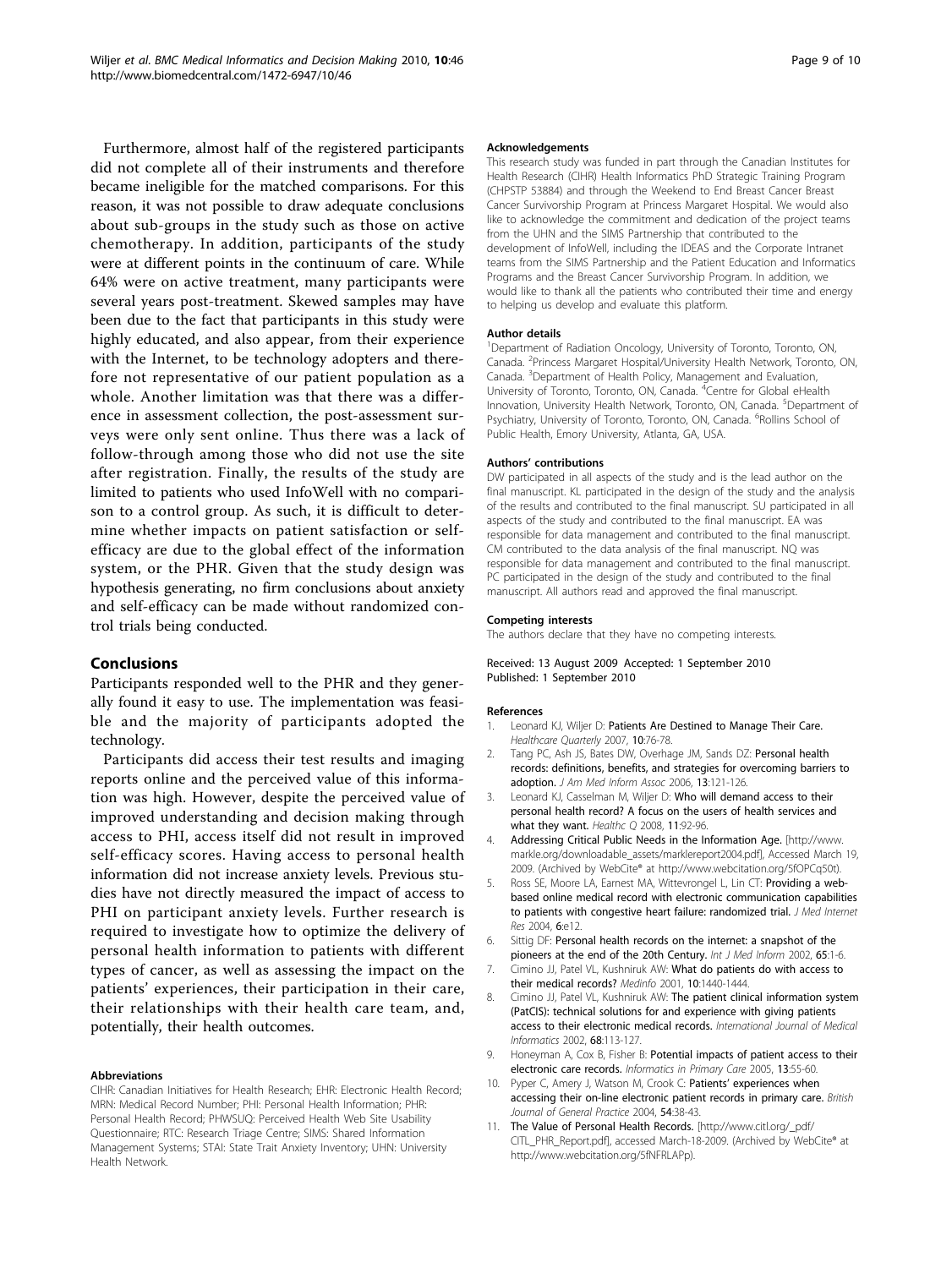<span id="page-8-0"></span>Furthermore, almost half of the registered participants did not complete all of their instruments and therefore became ineligible for the matched comparisons. For this reason, it was not possible to draw adequate conclusions about sub-groups in the study such as those on active chemotherapy. In addition, participants of the study were at different points in the continuum of care. While 64% were on active treatment, many participants were several years post-treatment. Skewed samples may have been due to the fact that participants in this study were highly educated, and also appear, from their experience with the Internet, to be technology adopters and therefore not representative of our patient population as a whole. Another limitation was that there was a difference in assessment collection, the post-assessment surveys were only sent online. Thus there was a lack of follow-through among those who did not use the site after registration. Finally, the results of the study are limited to patients who used InfoWell with no comparison to a control group. As such, it is difficult to determine whether impacts on patient satisfaction or selfefficacy are due to the global effect of the information system, or the PHR. Given that the study design was hypothesis generating, no firm conclusions about anxiety and self-efficacy can be made without randomized control trials being conducted.

## Conclusions

Participants responded well to the PHR and they generally found it easy to use. The implementation was feasible and the majority of participants adopted the technology.

Participants did access their test results and imaging reports online and the perceived value of this information was high. However, despite the perceived value of improved understanding and decision making through access to PHI, access itself did not result in improved self-efficacy scores. Having access to personal health information did not increase anxiety levels. Previous studies have not directly measured the impact of access to PHI on participant anxiety levels. Further research is required to investigate how to optimize the delivery of personal health information to patients with different types of cancer, as well as assessing the impact on the patients' experiences, their participation in their care, their relationships with their health care team, and, potentially, their health outcomes.

## Abbreviations

CIHR: Canadian Initiatives for Health Research; EHR: Electronic Health Record; MRN: Medical Record Number; PHI: Personal Health Information; PHR: Personal Health Record; PHWSUQ: Perceived Health Web Site Usability Questionnaire; RTC: Research Triage Centre; SIMS: Shared Information Management Systems; STAI: State Trait Anxiety Inventory; UHN: University Health Network.

#### Acknowledgements

This research study was funded in part through the Canadian Institutes for Health Research (CIHR) Health Informatics PhD Strategic Training Program (CHPSTP 53884) and through the Weekend to End Breast Cancer Breast Cancer Survivorship Program at Princess Margaret Hospital. We would also like to acknowledge the commitment and dedication of the project teams from the UHN and the SIMS Partnership that contributed to the development of InfoWell, including the IDEAS and the Corporate Intranet teams from the SIMS Partnership and the Patient Education and Informatics Programs and the Breast Cancer Survivorship Program. In addition, we would like to thank all the patients who contributed their time and energy to helping us develop and evaluate this platform.

#### Author details

<sup>1</sup>Department of Radiation Oncology, University of Toronto, Toronto, ON Canada. <sup>2</sup>Princess Margaret Hospital/University Health Network, Toronto, ON Canada. <sup>3</sup>Department of Health Policy, Management and Evaluation, University of Toronto, Toronto, ON, Canada. <sup>4</sup>Centre for Global eHealth Innovation, University Health Network, Toronto, ON, Canada. <sup>5</sup>Department of Psychiatry, University of Toronto, Toronto, ON, Canada. <sup>6</sup>Rollins School of Public Health, Emory University, Atlanta, GA, USA.

#### Authors' contributions

DW participated in all aspects of the study and is the lead author on the final manuscript. KL participated in the design of the study and the analysis of the results and contributed to the final manuscript. SU participated in all aspects of the study and contributed to the final manuscript. EA was responsible for data management and contributed to the final manuscript. CM contributed to the data analysis of the final manuscript. NQ was responsible for data management and contributed to the final manuscript. PC participated in the design of the study and contributed to the final manuscript. All authors read and approved the final manuscript.

#### Competing interests

The authors declare that they have no competing interests.

## Received: 13 August 2009 Accepted: 1 September 2010 Published: 1 September 2010

#### References

- 1. Leonard KJ, Wiljer D: [Patients Are Destined to Manage Their Care.](http://www.ncbi.nlm.nih.gov/pubmed/17626550?dopt=Abstract) Healthcare Quarterly 2007, 10:76-78.
- 2. Tang PC, Ash JS, Bates DW, Overhage JM, Sands DZ: [Personal health](http://www.ncbi.nlm.nih.gov/pubmed/16357345?dopt=Abstract) [records: definitions, benefits, and strategies for overcoming barriers to](http://www.ncbi.nlm.nih.gov/pubmed/16357345?dopt=Abstract) [adoption.](http://www.ncbi.nlm.nih.gov/pubmed/16357345?dopt=Abstract) J Am Med Inform Assoc 2006, 13:121-126.
- 3. Leonard KJ, Casselman M, Wiljer D: [Who will demand access to their](http://www.ncbi.nlm.nih.gov/pubmed/18326386?dopt=Abstract) [personal health record? A focus on the users of health services and](http://www.ncbi.nlm.nih.gov/pubmed/18326386?dopt=Abstract) [what they want.](http://www.ncbi.nlm.nih.gov/pubmed/18326386?dopt=Abstract) Healthc O 2008, 11:92-96.
- 4. Addressing Critical Public Needs in the Information Age. [[http://www.](http://www.markle.org/downloadable_assets/marklereport2004.pdf) [markle.org/downloadable\\_assets/marklereport2004.pdf](http://www.markle.org/downloadable_assets/marklereport2004.pdf)l, Accessed March 19, 2009. (Archived by WebCite® at http://www.webcitation.org/5fOPCq50t).
- Ross SE, Moore LA, Earnest MA, Wittevrongel L, Lin CT: [Providing a web](http://www.ncbi.nlm.nih.gov/pubmed/15249261?dopt=Abstract)[based online medical record with electronic communication capabilities](http://www.ncbi.nlm.nih.gov/pubmed/15249261?dopt=Abstract) [to patients with congestive heart failure: randomized trial.](http://www.ncbi.nlm.nih.gov/pubmed/15249261?dopt=Abstract) J Med Internet Res 2004, 6:e12.
- 6. Sittig DF: [Personal health records on the internet: a snapshot of the](http://www.ncbi.nlm.nih.gov/pubmed/11904243?dopt=Abstract) [pioneers at the end of the 20th Century.](http://www.ncbi.nlm.nih.gov/pubmed/11904243?dopt=Abstract) Int J Med Inform 2002, 65:1-6.
- 7. Cimino JJ, Patel VL, Kushniruk AW: What do patients do with access to their medical records? Medinfo 2001, 10:1440-1444.
- 8. Cimino JJ, Patel VL, Kushniruk AW: [The patient clinical information system](http://www.ncbi.nlm.nih.gov/pubmed/12467796?dopt=Abstract) [\(PatCIS\): technical solutions for and experience with giving patients](http://www.ncbi.nlm.nih.gov/pubmed/12467796?dopt=Abstract) [access to their electronic medical records.](http://www.ncbi.nlm.nih.gov/pubmed/12467796?dopt=Abstract) International Journal of Medical Informatics 2002, 68:113-127.
- 9. Honeyman A, Cox B, Fisher B: [Potential impacts of patient access to their](http://www.ncbi.nlm.nih.gov/pubmed/15949176?dopt=Abstract) [electronic care records.](http://www.ncbi.nlm.nih.gov/pubmed/15949176?dopt=Abstract) Informatics in Primary Care 2005, 13:55-60.
- 10. Pyper C, Amery J, Watson M, Crook C: Patients' [experiences when](http://www.ncbi.nlm.nih.gov/pubmed/14965405?dopt=Abstract) [accessing their on-line electronic patient records in primary care.](http://www.ncbi.nlm.nih.gov/pubmed/14965405?dopt=Abstract) British Journal of General Practice 2004, 54:38-43.
- 11. The Value of Personal Health Records. [\[http://www.citl.org/\\_pdf/](http://www.citl.org/_pdf/CITL_PHR_Report.pdf) [CITL\\_PHR\\_Report.pdf\]](http://www.citl.org/_pdf/CITL_PHR_Report.pdf), accessed March-18-2009. (Archived by WebCite® at http://www.webcitation.org/5fNFRLAPp).